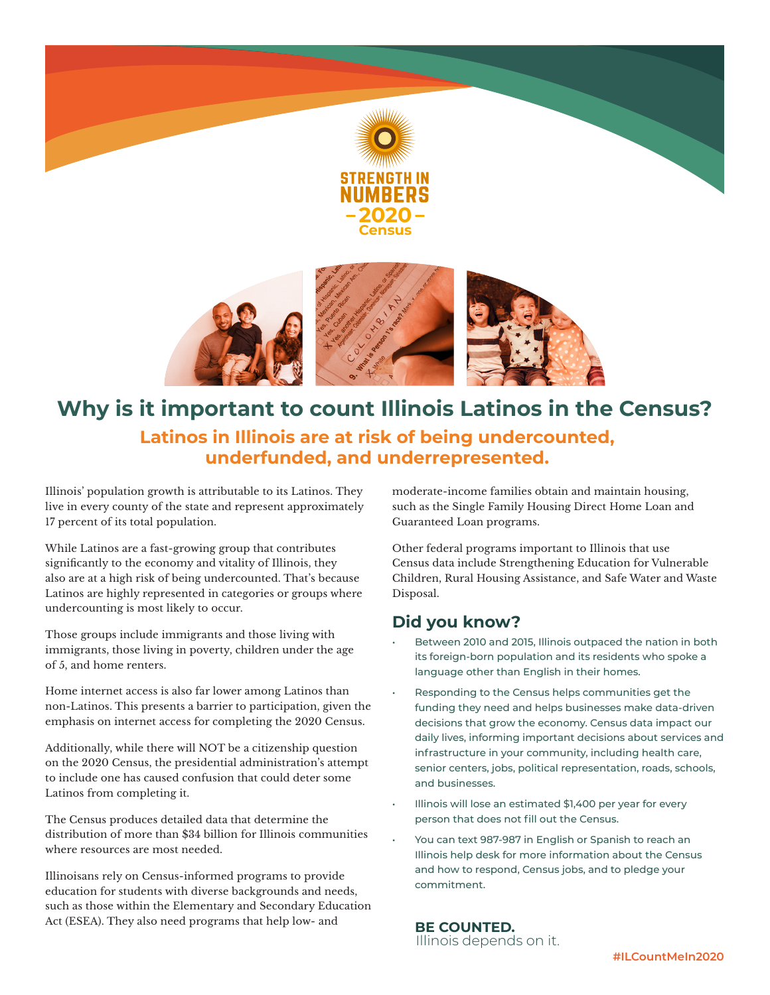

## **Why is it important to count Illinois Latinos in the Census? Latinos in Illinois are at risk of being undercounted, underfunded, and underrepresented.**

Illinois' population growth is attributable to its Latinos. They live in every county of the state and represent approximately 17 percent of its total population.

While Latinos are a fast-growing group that contributes significantly to the economy and vitality of Illinois, they also are at a high risk of being undercounted. That's because Latinos are highly represented in categories or groups where undercounting is most likely to occur.

Those groups include immigrants and those living with immigrants, those living in poverty, children under the age of 5, and home renters.

Home internet access is also far lower among Latinos than non-Latinos. This presents a barrier to participation, given the emphasis on internet access for completing the 2020 Census.

Additionally, while there will NOT be a citizenship question on the 2020 Census, the presidential administration's attempt to include one has caused confusion that could deter some Latinos from completing it.

The Census produces detailed data that determine the distribution of more than \$34 billion for Illinois communities where resources are most needed.

Illinoisans rely on Census-informed programs to provide education for students with diverse backgrounds and needs, such as those within the Elementary and Secondary Education Act (ESEA). They also need programs that help low- and

moderate-income families obtain and maintain housing, such as the Single Family Housing Direct Home Loan and Guaranteed Loan programs.

Other federal programs important to Illinois that use Census data include Strengthening Education for Vulnerable Children, Rural Housing Assistance, and Safe Water and Waste Disposal.

## **Did you know?**

- Between 2010 and 2015, Illinois outpaced the nation in both its foreign-born population and its residents who spoke a language other than English in their homes.
- Responding to the Census helps communities get the funding they need and helps businesses make data-driven decisions that grow the economy. Census data impact our daily lives, informing important decisions about services and infrastructure in your community, including health care, senior centers, jobs, political representation, roads, schools, and businesses.
- Illinois will lose an estimated \$1,400 per year for every person that does not fill out the Census.
- You can text 987-987 in English or Spanish to reach an Illinois help desk for more information about the Census and how to respond, Census jobs, and to pledge your commitment.

 **BE COUNTED.** Illinois depends on it.